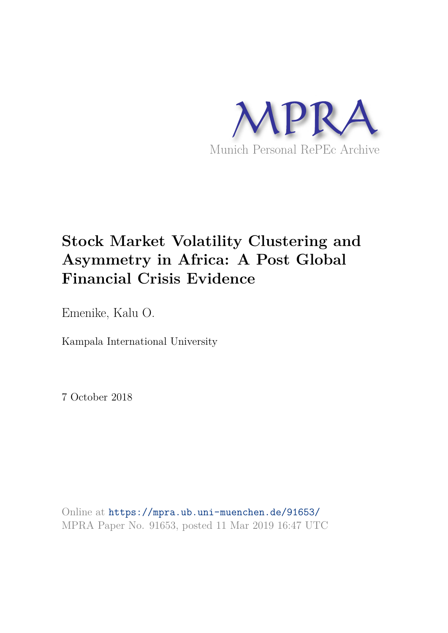

# **Stock Market Volatility Clustering and Asymmetry in Africa: A Post Global Financial Crisis Evidence**

Emenike, Kalu O.

Kampala International University

7 October 2018

Online at https://mpra.ub.uni-muenchen.de/91653/ MPRA Paper No. 91653, posted 11 Mar 2019 16:47 UTC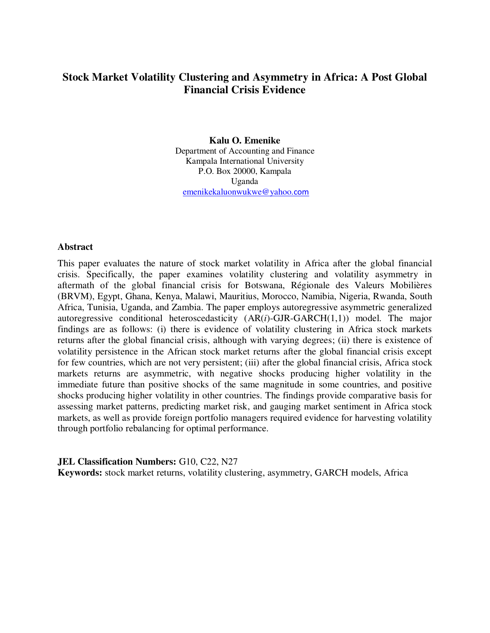# **Stock Market Volatility Clustering and Asymmetry in Africa: A Post Global Financial Crisis Evidence**

# **Kalu O. Emenike**

Department of Accounting and Finance Kampala International University P.O. Box 20000, Kampala Uganda [emenikekaluonwukwe@yahoo.](mailto:emenikekaluonwukwe@yahoo.com)com

#### **Abstract**

This paper evaluates the nature of stock market volatility in Africa after the global financial crisis. Specifically, the paper examines volatility clustering and volatility asymmetry in aftermath of the global financial crisis for Botswana, Régionale des Valeurs Mobilières (BRVM), Egypt, Ghana, Kenya, Malawi, Mauritius, Morocco, Namibia, Nigeria, Rwanda, South Africa, Tunisia, Uganda, and Zambia. The paper employs autoregressive asymmetric generalized autoregressive conditional heteroscedasticity (AR(*i*)-GJR-GARCH(1,1)) model. The major findings are as follows: (i) there is evidence of volatility clustering in Africa stock markets returns after the global financial crisis, although with varying degrees; (ii) there is existence of volatility persistence in the African stock market returns after the global financial crisis except for few countries, which are not very persistent; (iii) after the global financial crisis, Africa stock markets returns are asymmetric, with negative shocks producing higher volatility in the immediate future than positive shocks of the same magnitude in some countries, and positive shocks producing higher volatility in other countries. The findings provide comparative basis for assessing market patterns, predicting market risk, and gauging market sentiment in Africa stock markets, as well as provide foreign portfolio managers required evidence for harvesting volatility through portfolio rebalancing for optimal performance.

**JEL Classification Numbers: G10, C22, N27** 

**Keywords:** stock market returns, volatility clustering, asymmetry, GARCH models, Africa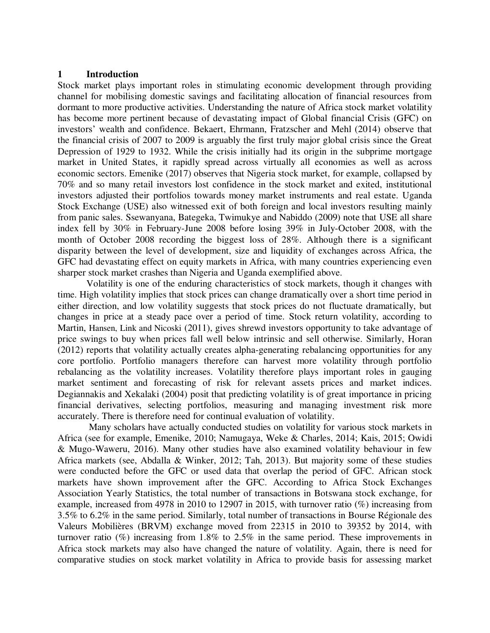#### **1 Introduction**

Stock market plays important roles in stimulating economic development through providing channel for mobilising domestic savings and facilitating allocation of financial resources from dormant to more productive activities. Understanding the nature of Africa stock market volatility has become more pertinent because of devastating impact of Global financial Crisis (GFC) on investors' wealth and confidence. Bekaert, Ehrmann, Fratzscher and Mehl (2014) observe that the financial crisis of 2007 to 2009 is arguably the first truly major global crisis since the Great Depression of 1929 to 1932. While the crisis initially had its origin in the subprime mortgage market in United States, it rapidly spread across virtually all economies as well as across economic sectors. Emenike (2017) observes that Nigeria stock market, for example, collapsed by 70% and so many retail investors lost confidence in the stock market and exited, institutional investors adjusted their portfolios towards money market instruments and real estate. Uganda Stock Exchange (USE) also witnessed exit of both foreign and local investors resulting mainly from panic sales. Ssewanyana, Bategeka, Twimukye and Nabiddo (2009) note that USE all share index fell by 30% in February-June 2008 before losing 39% in July-October 2008, with the month of October 2008 recording the biggest loss of 28%. Although there is a significant disparity between the level of development, size and liquidity of exchanges across Africa, the GFC had devastating effect on equity markets in Africa, with many countries experiencing even sharper stock market crashes than Nigeria and Uganda exemplified above.

Volatility is one of the enduring characteristics of stock markets, though it changes with time. High volatility implies that stock prices can change dramatically over a short time period in either direction, and low volatility suggests that stock prices do not fluctuate dramatically, but changes in price at a steady pace over a period of time. Stock return volatility, according to Martin, Hansen, Link and Nicoski (2011), gives shrewd investors opportunity to take advantage of price swings to buy when prices fall well below intrinsic and sell otherwise. Similarly, Horan (2012) reports that volatility actually creates alpha-generating rebalancing opportunities for any core portfolio. Portfolio managers therefore can harvest more volatility through portfolio rebalancing as the volatility increases. Volatility therefore plays important roles in gauging market sentiment and forecasting of risk for relevant assets prices and market indices. Degiannakis and Xekalaki (2004) posit that predicting volatility is of great importance in pricing financial derivatives, selecting portfolios, measuring and managing investment risk more accurately. There is therefore need for continual evaluation of volatility.

 Many scholars have actually conducted studies on volatility for various stock markets in Africa (see for example, Emenike, 2010; Namugaya, Weke & Charles, 2014; Kais, 2015; Owidi & Mugo-Waweru, 2016). Many other studies have also examined volatility behaviour in few Africa markets (see, Abdalla & Winker, 2012; Tah, 2013). But majority some of these studies were conducted before the GFC or used data that overlap the period of GFC. African stock markets have shown improvement after the GFC. According to Africa Stock Exchanges Association Yearly Statistics, the total number of transactions in Botswana stock exchange, for example, increased from 4978 in 2010 to 12907 in 2015, with turnover ratio (%) increasing from 3.5% to 6.2% in the same period. Similarly, total number of transactions in Bourse Régionale des Valeurs Mobilières (BRVM) exchange moved from 22315 in 2010 to 39352 by 2014, with turnover ratio (%) increasing from 1.8% to 2.5% in the same period. These improvements in Africa stock markets may also have changed the nature of volatility. Again, there is need for comparative studies on stock market volatility in Africa to provide basis for assessing market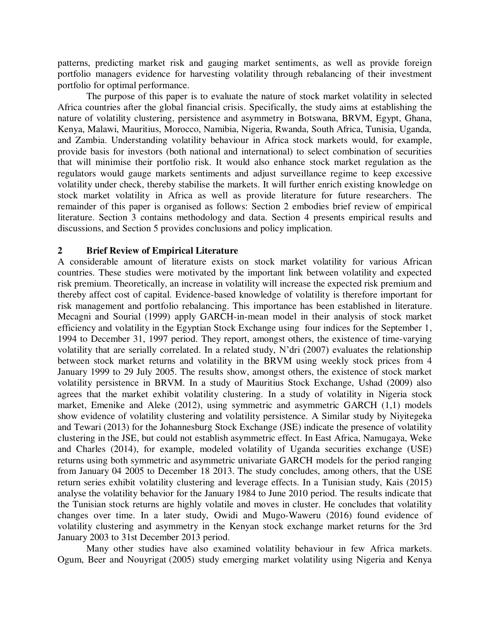patterns, predicting market risk and gauging market sentiments, as well as provide foreign portfolio managers evidence for harvesting volatility through rebalancing of their investment portfolio for optimal performance.

The purpose of this paper is to evaluate the nature of stock market volatility in selected Africa countries after the global financial crisis. Specifically, the study aims at establishing the nature of volatility clustering, persistence and asymmetry in Botswana, BRVM, Egypt, Ghana, Kenya, Malawi, Mauritius, Morocco, Namibia, Nigeria, Rwanda, South Africa, Tunisia, Uganda, and Zambia. Understanding volatility behaviour in Africa stock markets would, for example, provide basis for investors (both national and international) to select combination of securities that will minimise their portfolio risk. It would also enhance stock market regulation as the regulators would gauge markets sentiments and adjust surveillance regime to keep excessive volatility under check, thereby stabilise the markets. It will further enrich existing knowledge on stock market volatility in Africa as well as provide literature for future researchers. The remainder of this paper is organised as follows: Section 2 embodies brief review of empirical literature. Section 3 contains methodology and data. Section 4 presents empirical results and discussions, and Section 5 provides conclusions and policy implication.

# **2 Brief Review of Empirical Literature**

A considerable amount of literature exists on stock market volatility for various African countries. These studies were motivated by the important link between volatility and expected risk premium. Theoretically, an increase in volatility will increase the expected risk premium and thereby affect cost of capital. Evidence-based knowledge of volatility is therefore important for risk management and portfolio rebalancing. This importance has been established in literature. Mecagni and Sourial (1999) apply GARCH-in-mean model in their analysis of stock market efficiency and volatility in the Egyptian Stock Exchange using four indices for the September 1, 1994 to December 31, 1997 period. They report, amongst others, the existence of time-varying volatility that are serially correlated. In a related study, N'dri (2007) evaluates the relationship between stock market returns and volatility in the BRVM using weekly stock prices from 4 January 1999 to 29 July 2005. The results show, amongst others, the existence of stock market volatility persistence in BRVM. In a study of Mauritius Stock Exchange, Ushad (2009) also agrees that the market exhibit volatility clustering. In a study of volatility in Nigeria stock market, Emenike and Aleke (2012), using symmetric and asymmetric GARCH (1,1) models show evidence of volatility clustering and volatility persistence. A Similar study by Niyitegeka and Tewari (2013) for the Johannesburg Stock Exchange (JSE) indicate the presence of volatility clustering in the JSE, but could not establish asymmetric effect. In East Africa, Namugaya, Weke and Charles (2014), for example, modeled volatility of Uganda securities exchange (USE) returns using both symmetric and asymmetric univariate GARCH models for the period ranging from January 04 2005 to December 18 2013. The study concludes, among others, that the USE return series exhibit volatility clustering and leverage effects. In a Tunisian study, Kais (2015) analyse the volatility behavior for the January 1984 to June 2010 period. The results indicate that the Tunisian stock returns are highly volatile and moves in cluster. He concludes that volatility changes over time. In a later study, Owidi and Mugo-Waweru (2016) found evidence of volatility clustering and asymmetry in the Kenyan stock exchange market returns for the 3rd January 2003 to 31st December 2013 period.

Many other studies have also examined volatility behaviour in few Africa markets. Ogum, Beer and Nouyrigat (2005) study emerging market volatility using Nigeria and Kenya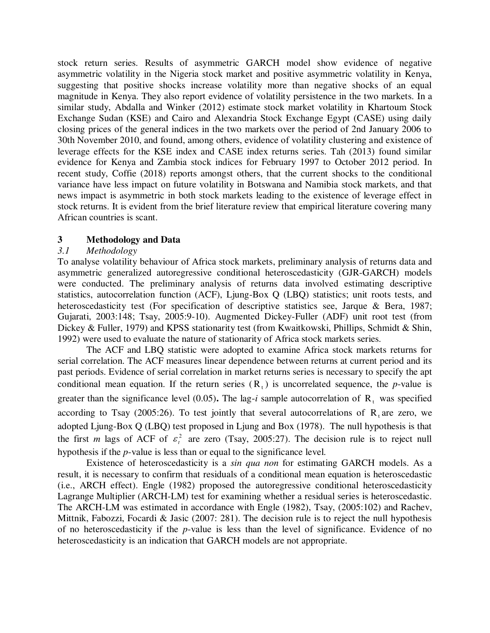stock return series. Results of asymmetric GARCH model show evidence of negative asymmetric volatility in the Nigeria stock market and positive asymmetric volatility in Kenya, suggesting that positive shocks increase volatility more than negative shocks of an equal magnitude in Kenya. They also report evidence of volatility persistence in the two markets. In a similar study, Abdalla and Winker (2012) estimate stock market volatility in Khartoum Stock Exchange Sudan (KSE) and Cairo and Alexandria Stock Exchange Egypt (CASE) using daily closing prices of the general indices in the two markets over the period of 2nd January 2006 to 30th November 2010, and found, among others, evidence of volatility clustering and existence of leverage effects for the KSE index and CASE index returns series. Tah (2013) found similar evidence for Kenya and Zambia stock indices for February 1997 to October 2012 period. In recent study, Coffie (2018) reports amongst others, that the current shocks to the conditional variance have less impact on future volatility in Botswana and Namibia stock markets, and that news impact is asymmetric in both stock markets leading to the existence of leverage effect in stock returns. It is evident from the brief literature review that empirical literature covering many African countries is scant.

# **3 Methodology and Data**

# *3.1 Methodology*

To analyse volatility behaviour of Africa stock markets, preliminary analysis of returns data and asymmetric generalized autoregressive conditional heteroscedasticity (GJR-GARCH) models were conducted. The preliminary analysis of returns data involved estimating descriptive statistics, autocorrelation function (ACF), Ljung-Box Q (LBQ) statistics; unit roots tests, and heteroscedasticity test (For specification of descriptive statistics see, Jarque & Bera, 1987; Gujarati, 2003:148; Tsay, 2005:9-10). Augmented Dickey-Fuller (ADF) unit root test (from Dickey & Fuller, 1979) and KPSS stationarity test (from Kwaitkowski, Phillips, Schmidt & Shin, 1992) were used to evaluate the nature of stationarity of Africa stock markets series.

The ACF and LBQ statistic were adopted to examine Africa stock markets returns for serial correlation. The ACF measures linear dependence between returns at current period and its past periods. Evidence of serial correlation in market returns series is necessary to specify the apt conditional mean equation. If the return series  $(R<sub>t</sub>)$  is uncorrelated sequence, the *p*-value is greater than the significance level (0.05). The lag-*i* sample autocorrelation of  $R_t$  was specified according to Tsay (2005:26). To test jointly that several autocorrelations of  $R_t$  are zero, we adopted Ljung-Box Q (LBQ) test proposed in Ljung and Box (1978). The null hypothesis is that the first *m* lags of ACF of  $\varepsilon_t^2$  are zero (Tsay, 2005:27). The decision rule is to reject null hypothesis if the *p*-value is less than or equal to the significance level.

Existence of heteroscedasticity is a *sin qua non* for estimating GARCH models. As a result, it is necessary to confirm that residuals of a conditional mean equation is heteroscedastic (i.e., ARCH effect). Engle (1982) proposed the autoregressive conditional heteroscedasticity Lagrange Multiplier (ARCH-LM) test for examining whether a residual series is heteroscedastic. The ARCH-LM was estimated in accordance with Engle (1982), Tsay, (2005:102) and Rachev, Mittnik, Fabozzi, Focardi & Jasic (2007: 281). The decision rule is to reject the null hypothesis of no heteroscedasticity if the *p*-value is less than the level of significance. Evidence of no heteroscedasticity is an indication that GARCH models are not appropriate.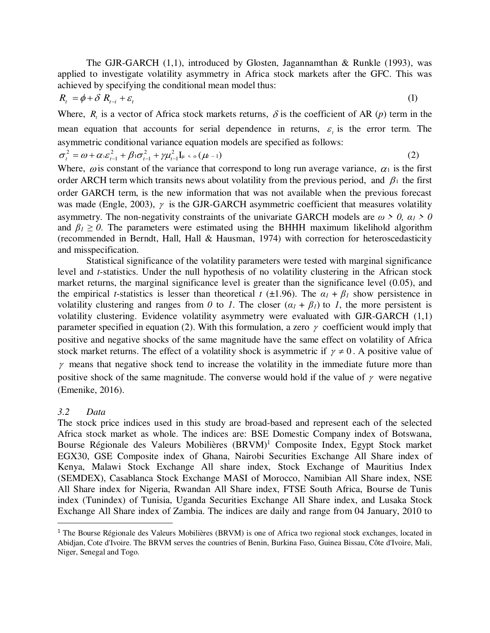The GJR-GARCH (1,1), introduced by Glosten, Jagannamthan & Runkle (1993), was applied to investigate volatility asymmetry in Africa stock markets after the GFC. This was achieved by specifying the conditional mean model thus:

$$
R_t = \phi + \delta R_{t-i} + \varepsilon_t \tag{1}
$$

Where,  $R_t$  is a vector of Africa stock markets returns,  $\delta$  is the coefficient of AR (*p*) term in the mean equation that accounts for serial dependence in returns,  $\varepsilon$  is the error term. The asymmetric conditional variance equation models are specified as follows:

$$
\sigma_t^2 = \omega + \alpha_1 \varepsilon_{t-1}^2 + \beta_1 \sigma_{t-1}^2 + \gamma \mu_{t-1}^2 I_{\mu} \leq \sigma(\mu_{t-1})
$$
\n(2)

Where,  $\omega$  is constant of the variance that correspond to long run average variance,  $\alpha_1$  is the first order ARCH term which transits news about volatility from the previous period, and  $\beta_1$  the first order GARCH term, is the new information that was not available when the previous forecast was made (Engle, 2003),  $\gamma$  is the GJR-GARCH asymmetric coefficient that measures volatility asymmetry. The non-negativity constraints of the univariate GARCH models are  $\omega > 0$ ,  $\alpha_1 > 0$ and  $\beta_1 \ge 0$ . The parameters were estimated using the BHHH maximum likelihold algorithm (recommended in Berndt, Hall, Hall & Hausman, 1974) with correction for heteroscedasticity and misspecification.

Statistical significance of the volatility parameters were tested with marginal significance level and *t*-statistics. Under the null hypothesis of no volatility clustering in the African stock market returns, the marginal significance level is greater than the significance level (0.05), and the empirical *t*-statistics is lesser than theoretical *t* ( $\pm$ 1.96). The  $\alpha$ <sup>*I*</sup> +  $\beta$ <sup>*I*</sup> show persistence in volatility clustering and ranges from *0* to *1*. The closer  $(a_1 + \beta_1)$  to *1*, the more persistent is volatility clustering. Evidence volatility asymmetry were evaluated with GJR-GARCH (1,1) parameter specified in equation (2). With this formulation, a zero  $\gamma$  coefficient would imply that positive and negative shocks of the same magnitude have the same effect on volatility of Africa stock market returns. The effect of a volatility shock is asymmetric if  $\gamma \neq 0$ . A positive value of  $\gamma$  means that negative shock tend to increase the volatility in the immediate future more than positive shock of the same magnitude. The converse would hold if the value of  $\gamma$  were negative (Emenike, 2016).

#### *3.2 Data*

 $\overline{a}$ 

The stock price indices used in this study are broad-based and represent each of the selected Africa stock market as whole. The indices are: BSE Domestic Company index of Botswana, Bourse Régionale des Valeurs Mobilières (BRVM)<sup>1</sup> Composite Index, Egypt Stock market EGX30, GSE Composite index of Ghana, Nairobi Securities Exchange All Share index of Kenya, Malawi Stock Exchange All share index, Stock Exchange of Mauritius Index (SEMDEX), Casablanca Stock Exchange MASI of Morocco, Namibian All Share index, NSE All Share index for Nigeria, Rwandan All Share index, FTSE South Africa, Bourse de Tunis index (Tunindex) of Tunisia, Uganda Securities Exchange All Share index, and Lusaka Stock Exchange All Share index of Zambia. The indices are daily and range from 04 January, 2010 to

<sup>1</sup> The Bourse Régionale des Valeurs Mobilières (BRVM) is one of Africa two regional stock exchanges, located in Abidjan, Cote d'Ivoire. The BRVM serves the countries of Benin, Burkina Faso, Guinea Bissau, Côte d'Ivoire, Mali, Niger, Senegal and Togo.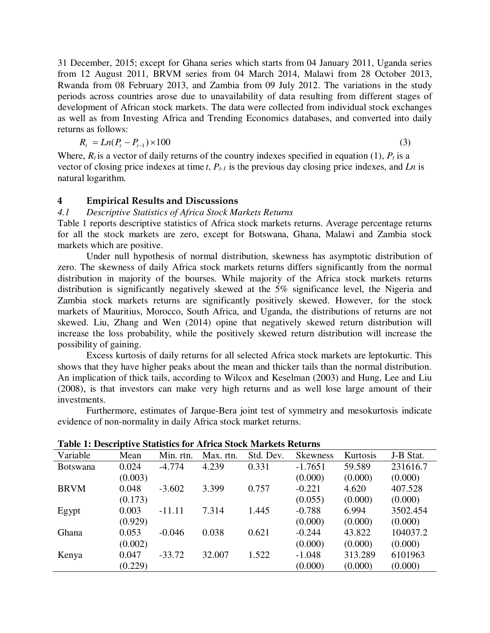31 December, 2015; except for Ghana series which starts from 04 January 2011, Uganda series from 12 August 2011, BRVM series from 04 March 2014, Malawi from 28 October 2013, Rwanda from 08 February 2013, and Zambia from 09 July 2012. The variations in the study periods across countries arose due to unavailability of data resulting from different stages of development of African stock markets. The data were collected from individual stock exchanges as well as from Investing Africa and Trending Economics databases, and converted into daily returns as follows:

$$
R_t = Ln(P_t - P_{t-1}) \times 100
$$
\n(3)

Where,  $R_t$  is a vector of daily returns of the country indexes specified in equation (1),  $P_t$  is a vector of closing price indexes at time *t*, *Pt-1* is the previous day closing price indexes, and *Ln* is natural logarithm.

#### **4 Empirical Results and Discussions**

# *4.1 Descriptive Statistics of Africa Stock Markets Returns*

Table 1 reports descriptive statistics of Africa stock markets returns. Average percentage returns for all the stock markets are zero, except for Botswana, Ghana, Malawi and Zambia stock markets which are positive.

Under null hypothesis of normal distribution, skewness has asymptotic distribution of zero. The skewness of daily Africa stock markets returns differs significantly from the normal distribution in majority of the bourses. While majority of the Africa stock markets returns distribution is significantly negatively skewed at the 5% significance level, the Nigeria and Zambia stock markets returns are significantly positively skewed. However, for the stock markets of Mauritius, Morocco, South Africa, and Uganda, the distributions of returns are not skewed. Liu, Zhang and Wen (2014) opine that negatively skewed return distribution will increase the loss probability, while the positively skewed return distribution will increase the possibility of gaining.

Excess kurtosis of daily returns for all selected Africa stock markets are leptokurtic. This shows that they have higher peaks about the mean and thicker tails than the normal distribution. An implication of thick tails, according to Wilcox and Keselman (2003) and Hung, Lee and Liu (2008), is that investors can make very high returns and as well lose large amount of their investments.

Furthermore, estimates of Jarque-Bera joint test of symmetry and mesokurtosis indicate evidence of non-normality in daily Africa stock market returns.

| Variable        | Mean    | Min. rtn. | Max. rtn. | Std. Dev. | <b>Skewness</b> | Kurtosis | J-B Stat. |
|-----------------|---------|-----------|-----------|-----------|-----------------|----------|-----------|
| <b>Botswana</b> | 0.024   | $-4.774$  | 4.239     | 0.331     | $-1.7651$       | 59.589   | 231616.7  |
|                 | (0.003) |           |           |           | (0.000)         | (0.000)  | (0.000)   |
| <b>BRVM</b>     | 0.048   | $-3.602$  | 3.399     | 0.757     | $-0.221$        | 4.620    | 407.528   |
|                 | (0.173) |           |           |           | (0.055)         | (0.000)  | (0.000)   |
| Egypt           | 0.003   | $-11.11$  | 7.314     | 1.445     | $-0.788$        | 6.994    | 3502.454  |
|                 | (0.929) |           |           |           | (0.000)         | (0.000)  | (0.000)   |
| Ghana           | 0.053   | $-0.046$  | 0.038     | 0.621     | $-0.244$        | 43.822   | 104037.2  |
|                 | (0.002) |           |           |           | (0.000)         | (0.000)  | (0.000)   |
| Kenya           | 0.047   | $-33.72$  | 32.007    | 1.522     | $-1.048$        | 313.289  | 6101963   |
|                 | (0.229) |           |           |           | (0.000)         | (0.000)  | (0.000)   |

**Table 1: Descriptive Statistics for Africa Stock Markets Returns**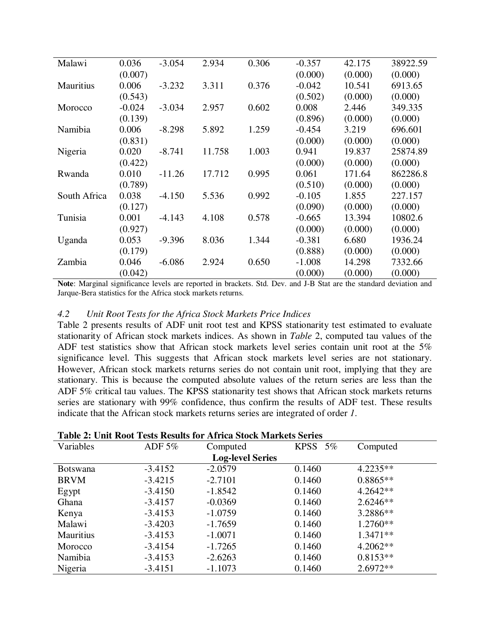| Malawi       | 0.036    | $-3.054$ | 2.934  | 0.306 | $-0.357$ | 42.175  | 38922.59 |
|--------------|----------|----------|--------|-------|----------|---------|----------|
|              | (0.007)  |          |        |       | (0.000)  | (0.000) | (0.000)  |
| Mauritius    | 0.006    | $-3.232$ | 3.311  | 0.376 | $-0.042$ | 10.541  | 6913.65  |
|              | (0.543)  |          |        |       | (0.502)  | (0.000) | (0.000)  |
| Morocco      | $-0.024$ | $-3.034$ | 2.957  | 0.602 | 0.008    | 2.446   | 349.335  |
|              | (0.139)  |          |        |       | (0.896)  | (0.000) | (0.000)  |
| Namibia      | 0.006    | $-8.298$ | 5.892  | 1.259 | $-0.454$ | 3.219   | 696.601  |
|              | (0.831)  |          |        |       | (0.000)  | (0.000) | (0.000)  |
| Nigeria      | 0.020    | $-8.741$ | 11.758 | 1.003 | 0.941    | 19.837  | 25874.89 |
|              | (0.422)  |          |        |       | (0.000)  | (0.000) | (0.000)  |
| Rwanda       | 0.010    | $-11.26$ | 17.712 | 0.995 | 0.061    | 171.64  | 862286.8 |
|              | (0.789)  |          |        |       | (0.510)  | (0.000) | (0.000)  |
| South Africa | 0.038    | $-4.150$ | 5.536  | 0.992 | $-0.105$ | 1.855   | 227.157  |
|              | (0.127)  |          |        |       | (0.090)  | (0.000) | (0.000)  |
| Tunisia      | 0.001    | $-4.143$ | 4.108  | 0.578 | $-0.665$ | 13.394  | 10802.6  |
|              | (0.927)  |          |        |       | (0.000)  | (0.000) | (0.000)  |
| Uganda       | 0.053    | $-9.396$ | 8.036  | 1.344 | $-0.381$ | 6.680   | 1936.24  |
|              | (0.179)  |          |        |       | (0.888)  | (0.000) | (0.000)  |
| Zambia       | 0.046    | $-6.086$ | 2.924  | 0.650 | $-1.008$ | 14.298  | 7332.66  |
|              | (0.042)  |          |        |       | (0.000)  | (0.000) | (0.000)  |

**Note**: Marginal significance levels are reported in brackets. Std. Dev. and J-B Stat are the standard deviation and Jarque-Bera statistics for the Africa stock markets returns.

#### *4.2 Unit Root Tests for the Africa Stock Markets Price Indices*

Table 2 presents results of ADF unit root test and KPSS stationarity test estimated to evaluate stationarity of African stock markets indices. As shown in *Table* 2, computed tau values of the ADF test statistics show that African stock markets level series contain unit root at the 5% significance level. This suggests that African stock markets level series are not stationary. However, African stock markets returns series do not contain unit root, implying that they are stationary. This is because the computed absolute values of the return series are less than the ADF 5% critical tau values. The KPSS stationarity test shows that African stock markets returns series are stationary with 99% confidence, thus confirm the results of ADF test. These results indicate that the African stock markets returns series are integrated of order *1*.

| Table 2. Omi Kobi Tesis Kesulis Ibi Affica Bibek matkets Befies |                         |            |            |  |  |  |  |
|-----------------------------------------------------------------|-------------------------|------------|------------|--|--|--|--|
| ADF $5\%$                                                       | Computed                | KPSS $5\%$ | Computed   |  |  |  |  |
|                                                                 | <b>Log-level Series</b> |            |            |  |  |  |  |
| $-3.4152$                                                       | $-2.0579$               | 0.1460     | $4.2235**$ |  |  |  |  |
| $-3.4215$                                                       | $-2.7101$               | 0.1460     | $0.8865**$ |  |  |  |  |
| $-3.4150$                                                       | $-1.8542$               | 0.1460     | $4.2642**$ |  |  |  |  |
| $-3.4157$                                                       | $-0.0369$               | 0.1460     | $2.6246**$ |  |  |  |  |
| $-3.4153$                                                       | $-1.0759$               | 0.1460     | 3.2886**   |  |  |  |  |
| $-3.4203$                                                       | $-1.7659$               | 0.1460     | $1.2760**$ |  |  |  |  |
| $-3.4153$                                                       | $-1.0071$               | 0.1460     | $1.3471**$ |  |  |  |  |
| $-3.4154$                                                       | $-1.7265$               | 0.1460     | $4.2062**$ |  |  |  |  |
| $-3.4153$                                                       | $-2.6263$               | 0.1460     | $0.8153**$ |  |  |  |  |
| $-3.4151$                                                       | $-1.1073$               | 0.1460     | $2.6972**$ |  |  |  |  |
|                                                                 |                         |            |            |  |  |  |  |

#### **Table 2: Unit Root Tests Results for Africa Stock Markets Series**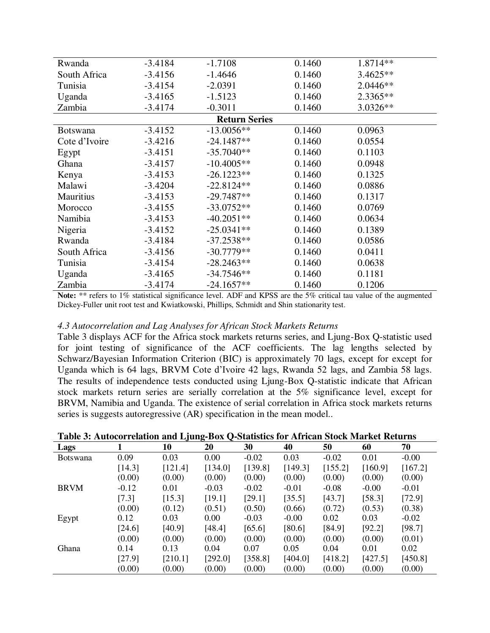| Rwanda               | $-3.4184$ | $-1.7108$    | 0.1460 | 1.8714**   |  |  |  |  |
|----------------------|-----------|--------------|--------|------------|--|--|--|--|
| South Africa         | $-3.4156$ | $-1.4646$    | 0.1460 | $3.4625**$ |  |  |  |  |
| Tunisia              | $-3.4154$ | $-2.0391$    | 0.1460 | $2.0446**$ |  |  |  |  |
| Uganda               | $-3.4165$ | $-1.5123$    | 0.1460 | 2.3365**   |  |  |  |  |
| Zambia               | $-3.4174$ | $-0.3011$    | 0.1460 | $3.0326**$ |  |  |  |  |
| <b>Return Series</b> |           |              |        |            |  |  |  |  |
| <b>Botswana</b>      | $-3.4152$ | $-13.0056**$ | 0.1460 | 0.0963     |  |  |  |  |
| Cote d'Ivoire        | $-3.4216$ | $-24.1487**$ | 0.1460 | 0.0554     |  |  |  |  |
| Egypt                | $-3.4151$ | $-35.7040**$ | 0.1460 | 0.1103     |  |  |  |  |
| Ghana                | $-3.4157$ | $-10.4005**$ | 0.1460 | 0.0948     |  |  |  |  |
| Kenya                | $-3.4153$ | $-26.1223**$ | 0.1460 | 0.1325     |  |  |  |  |
| Malawi               | $-3.4204$ | $-22.8124**$ | 0.1460 | 0.0886     |  |  |  |  |
| <b>Mauritius</b>     | $-3.4153$ | $-29.7487**$ | 0.1460 | 0.1317     |  |  |  |  |
| Morocco              | $-3.4155$ | $-33.0752**$ | 0.1460 | 0.0769     |  |  |  |  |
| Namibia              | $-3.4153$ | $-40.2051**$ | 0.1460 | 0.0634     |  |  |  |  |
| Nigeria              | $-3.4152$ | $-25.0341**$ | 0.1460 | 0.1389     |  |  |  |  |
| Rwanda               | $-3.4184$ | $-37.2538**$ | 0.1460 | 0.0586     |  |  |  |  |
| South Africa         | $-3.4156$ | $-30.7779**$ | 0.1460 | 0.0411     |  |  |  |  |
| Tunisia              | $-3.4154$ | $-28.2463**$ | 0.1460 | 0.0638     |  |  |  |  |
| Uganda               | $-3.4165$ | $-34.7546**$ | 0.1460 | 0.1181     |  |  |  |  |
| Zambia               | $-3.4174$ | $-24.1657**$ | 0.1460 | 0.1206     |  |  |  |  |

**Note:** \*\* refers to 1% statistical significance level. ADF and KPSS are the 5% critical tau value of the augmented Dickey-Fuller unit root test and Kwiatkowski, Phillips, Schmidt and Shin stationarity test.

#### *4.3 Autocorrelation and Lag Analyses for African Stock Markets Returns*

Table 3 displays ACF for the Africa stock markets returns series, and Ljung-Box Q-statistic used for joint testing of significance of the ACF coefficients. The lag lengths selected by Schwarz/Bayesian Information Criterion (BIC) is approximately 70 lags, except for except for Uganda which is 64 lags, BRVM Cote d'Ivoire 42 lags, Rwanda 52 lags, and Zambia 58 lags. The results of independence tests conducted using Ljung-Box Q-statistic indicate that African stock markets return series are serially correlation at the 5% significance level, except for BRVM, Namibia and Uganda. The existence of serial correlation in Africa stock markets returns series is suggests autoregressive (AR) specification in the mean model..

| Table 3: Autocorrelation and Ljung-Box Q-Statistics for African Stock Market Returns |
|--------------------------------------------------------------------------------------|
|--------------------------------------------------------------------------------------|

| Lags            |         | $\cdot$<br>10 | $\mathbf{\sigma}$<br>∼<br>20 | 30      | 40      | 50      | 60      | 70      |
|-----------------|---------|---------------|------------------------------|---------|---------|---------|---------|---------|
| <b>Botswana</b> | 0.09    | 0.03          | 0.00                         | $-0.02$ | 0.03    | $-0.02$ | 0.01    | $-0.00$ |
|                 | [14.3]  | [121.4]       | [134.0]                      | [139.8] | [149.3] | [155.2] | [160.9] | [167.2] |
|                 | (0.00)  | (0.00)        | (0.00)                       | (0.00)  | (0.00)  | (0.00)  | (0.00)  | (0.00)  |
| <b>BRVM</b>     | $-0.12$ | 0.01          | $-0.03$                      | $-0.02$ | $-0.01$ | $-0.08$ | $-0.00$ | $-0.01$ |
|                 | [7.3]   | [15.3]        | [19.1]                       | [29.1]  | [35.5]  | [43.7]  | [58.3]  | [72.9]  |
|                 | (0.00)  | (0.12)        | (0.51)                       | (0.50)  | (0.66)  | (0.72)  | (0.53)  | (0.38)  |
| Egypt           | 0.12    | 0.03          | $0.00\,$                     | $-0.03$ | $-0.00$ | 0.02    | 0.03    | $-0.02$ |
|                 | [24.6]  | [40.9]        | [48.4]                       | [65.6]  | [80.6]  | [84.9]  | [92.2]  | [98.7]  |
|                 | (0.00)  | (0.00)        | (0.00)                       | (0.00)  | (0.00)  | (0.00)  | (0.00)  | (0.01)  |
| Ghana           | 0.14    | 0.13          | 0.04                         | 0.07    | 0.05    | 0.04    | 0.01    | 0.02    |
|                 | [27.9]  | [210.1]       | [292.0]                      | [358.8] | [404.0] | [418.2] | [427.5] | [450.8] |
|                 | (0.00)  | (0.00)        | (0.00)                       | (0.00)  | (0.00)  | (0.00)  | (0.00)  | (0.00)  |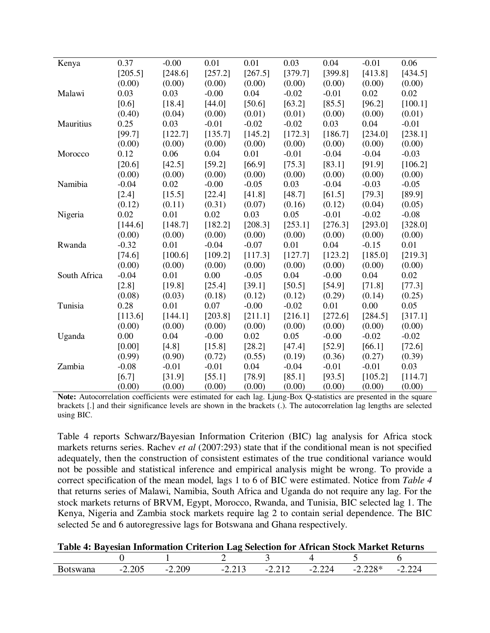| Kenya        | 0.37    | $-0.00$ | 0.01    | 0.01    | 0.03    | 0.04    | $-0.01$ | 0.06    |
|--------------|---------|---------|---------|---------|---------|---------|---------|---------|
|              | [205.5] | [248.6] | [257.2] | [267.5] | [379.7] | [399.8] | [413.8] | [434.5] |
|              | (0.00)  | (0.00)  | (0.00)  | (0.00)  | (0.00)  | (0.00)  | (0.00)  | (0.00)  |
| Malawi       | 0.03    | 0.03    | $-0.00$ | 0.04    | $-0.02$ | $-0.01$ | 0.02    | 0.02    |
|              | [0.6]   | [18.4]  | [44.0]  | [50.6]  | [63.2]  | [85.5]  | [96.2]  | [100.1] |
|              | (0.40)  | (0.04)  | (0.00)  | (0.01)  | (0.01)  | (0.00)  | (0.00)  | (0.01)  |
| Mauritius    | 0.25    | 0.03    | $-0.01$ | $-0.02$ | $-0.02$ | 0.03    | 0.04    | $-0.01$ |
|              | [99.7]  | [122.7] | [135.7] | [145.2] | [172.3] | [186.7] | [234.0] | [238.1] |
|              | (0.00)  | (0.00)  | (0.00)  | (0.00)  | (0.00)  | (0.00)  | (0.00)  | (0.00)  |
| Morocco      | 0.12    | 0.06    | 0.04    | 0.01    | $-0.01$ | $-0.04$ | $-0.04$ | $-0.03$ |
|              | [20.6]  | [42.5]  | [59.2]  | [66.9]  | [75.3]  | [83.1]  | [91.9]  | [106.2] |
|              | (0.00)  | (0.00)  | (0.00)  | (0.00)  | (0.00)  | (0.00)  | (0.00)  | (0.00)  |
| Namibia      | $-0.04$ | 0.02    | $-0.00$ | $-0.05$ | 0.03    | $-0.04$ | $-0.03$ | $-0.05$ |
|              | $[2.4]$ | [15.5]  | [22.4]  | [41.8]  | [48.7]  | [61.5]  | [79.3]  | [89.9]  |
|              | (0.12)  | (0.11)  | (0.31)  | (0.07)  | (0.16)  | (0.12)  | (0.04)  | (0.05)  |
| Nigeria      | 0.02    | 0.01    | 0.02    | 0.03    | 0.05    | $-0.01$ | $-0.02$ | $-0.08$ |
|              | [144.6] | [148.7] | [182.2] | [208.3] | [253.1] | [276.3] | [293.0] | [328.0] |
|              | (0.00)  | (0.00)  | (0.00)  | (0.00)  | (0.00)  | (0.00)  | (0.00)  | (0.00)  |
| Rwanda       | $-0.32$ | 0.01    | $-0.04$ | $-0.07$ | 0.01    | 0.04    | $-0.15$ | 0.01    |
|              | [74.6]  | [100.6] | [109.2] | [117.3] | [127.7] | [123.2] | [185.0] | [219.3] |
|              | (0.00)  | (0.00)  | (0.00)  | (0.00)  | (0.00)  | (0.00)  | (0.00)  | (0.00)  |
| South Africa | $-0.04$ | 0.01    | 0.00    | $-0.05$ | 0.04    | $-0.00$ | 0.04    | 0.02    |
|              | [2.8]   | [19.8]  | [25.4]  | [39.1]  | [50.5]  | [54.9]  | [71.8]  | [77.3]  |
|              | (0.08)  | (0.03)  | (0.18)  | (0.12)  | (0.12)  | (0.29)  | (0.14)  | (0.25)  |
| Tunisia      | 0.28    | 0.01    | 0.07    | $-0.00$ | $-0.02$ | 0.01    | 0.00    | 0.05    |
|              | [113.6] | [144.1] | [203.8] | [211.1] | [216.1] | [272.6] | [284.5] | [317.1] |
|              | (0.00)  | (0.00)  | (0.00)  | (0.00)  | (0.00)  | (0.00)  | (0.00)  | (0.00)  |
| Uganda       | 0.00    | 0.04    | $-0.00$ | 0.02    | 0.05    | $-0.00$ | $-0.02$ | $-0.02$ |
|              | [0.00]  | [4.8]   | [15.8]  | [28.2]  | [47.4]  | [52.9]  | [66.1]  | [72.6]  |
|              | (0.99)  | (0.90)  | (0.72)  | (0.55)  | (0.19)  | (0.36)  | (0.27)  | (0.39)  |
| Zambia       | $-0.08$ | $-0.01$ | $-0.01$ | 0.04    | $-0.04$ | $-0.01$ | $-0.01$ | 0.03    |
|              | [6.7]   | [31.9]  | [55.1]  | [78.9]  | [85.1]  | [93.5]  | [105.2] | [114.7] |
|              | (0.00)  | (0.00)  | (0.00)  | (0.00)  | (0.00)  | (0.00)  | (0.00)  | (0.00)  |

**Note:** Autocorrelation coefficients were estimated for each lag. Ljung-Box Q-statistics are presented in the square brackets [.] and their significance levels are shown in the brackets (.). The autocorrelation lag lengths are selected using BIC.

Table 4 reports Schwarz/Bayesian Information Criterion (BIC) lag analysis for Africa stock markets returns series. Rachev *et al* (2007:293) state that if the conditional mean is not specified adequately, then the construction of consistent estimates of the true conditional variance would not be possible and statistical inference and empirical analysis might be wrong. To provide a correct specification of the mean model, lags 1 to 6 of BIC were estimated. Notice from *Table 4* that returns series of Malawi, Namibia, South Africa and Uganda do not require any lag. For the stock markets returns of BRVM, Egypt, Morocco, Rwanda, and Tunisia, BIC selected lag 1. The Kenya, Nigeria and Zambia stock markets require lag 2 to contain serial dependence. The BIC selected 5e and 6 autoregressive lags for Botswana and Ghana respectively.

| Table 4: Bayesian Information Criterion Lag Selection for African Stock Market Returns |  |  |  |
|----------------------------------------------------------------------------------------|--|--|--|
|----------------------------------------------------------------------------------------|--|--|--|

| 'alla | $\Delta \Omega$<br>$\overline{\phantom{0}}$<br>2.202 | $\Delta C$<br>$\overline{\phantom{0}}$<br>$\overline{a}$ . $\overline{a}$ | $\overline{\phantom{0}}$<br>$-0.21$ | $\overline{\phantom{0}}$<br><b>I</b><br>the contract of the contract of the contract of the contract of the contract of | $\sim$<br><u>_ _ _ _</u><br>____ | ∖∩J<br>$\sim$<br>2.220<br>---- | $\sim$<br>_.__<br>____ |
|-------|------------------------------------------------------|---------------------------------------------------------------------------|-------------------------------------|-------------------------------------------------------------------------------------------------------------------------|----------------------------------|--------------------------------|------------------------|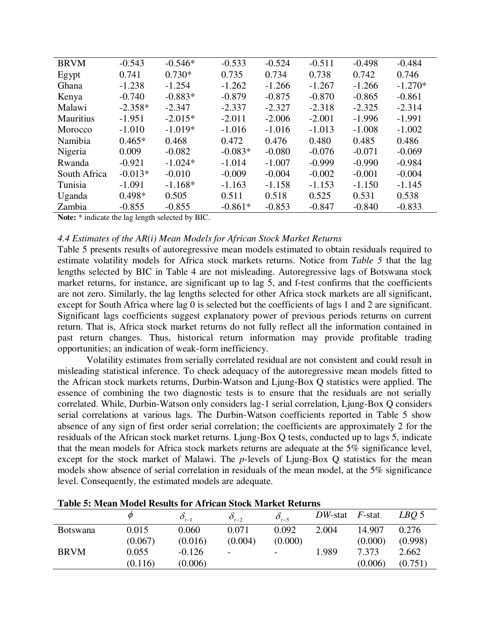| <b>BRVM</b>      | $-0.543$  | $-0.546*$ | $-0.533$  | $-0.524$ | $-0.511$ | $-0.498$ | $-0.484$  |
|------------------|-----------|-----------|-----------|----------|----------|----------|-----------|
| Egypt            | 0.741     | $0.730*$  | 0.735     | 0.734    | 0.738    | 0.742    | 0.746     |
| Ghana            | $-1.238$  | $-1.254$  | $-1.262$  | $-1.266$ | $-1.267$ | $-1.266$ | $-1.270*$ |
| Kenya            | $-0.740$  | $-0.883*$ | $-0.879$  | $-0.875$ | $-0.870$ | $-0.865$ | $-0.861$  |
| Malawi           | $-2.358*$ | $-2.347$  | $-2.337$  | $-2.327$ | $-2.318$ | $-2.325$ | $-2.314$  |
| <b>Mauritius</b> | $-1.951$  | $-2.015*$ | $-2.011$  | $-2.006$ | $-2.001$ | $-1.996$ | $-1.991$  |
| Morocco          | $-1.010$  | $-1.019*$ | $-1.016$  | $-1.016$ | $-1.013$ | $-1.008$ | $-1.002$  |
| Namibia          | $0.465*$  | 0.468     | 0.472     | 0.476    | 0.480    | 0.485    | 0.486     |
| Nigeria          | 0.009     | $-0.082$  | $-0.083*$ | $-0.080$ | $-0.076$ | $-0.071$ | $-0.069$  |
| Rwanda           | $-0.921$  | $-1.024*$ | $-1.014$  | $-1.007$ | $-0.999$ | $-0.990$ | $-0.984$  |
| South Africa     | $-0.013*$ | $-0.010$  | $-0.009$  | $-0.004$ | $-0.002$ | $-0.001$ | $-0.004$  |
| Tunisia          | $-1.091$  | $-1.168*$ | $-1.163$  | $-1.158$ | $-1.153$ | $-1.150$ | $-1.145$  |
| Uganda           | $0.498*$  | 0.505     | 0.511     | 0.518    | 0.525    | 0.531    | 0.538     |
| Zambia           | $-0.855$  | $-0.855$  | $-0.861*$ | $-0.853$ | $-0.847$ | $-0.840$ | $-0.833$  |

**Note:** \* indicate the lag length selected by BIC.

#### *4.4 Estimates of the AR(i) Mean Models for African Stock Market Returns*

Table 5 presents results of autoregressive mean models estimated to obtain residuals required to estimate volatility models for Africa stock markets returns. Notice from *Table 5* that the lag lengths selected by BIC in Table 4 are not misleading. Autoregressive lags of Botswana stock market returns, for instance, are significant up to lag 5, and f-test confirms that the coefficients are not zero. Similarly, the lag lengths selected for other Africa stock markets are all significant, except for South Africa where lag 0 is selected but the coefficients of lags 1 and 2 are significant. Significant lags coefficients suggest explanatory power of previous periods returns on current return. That is, Africa stock market returns do not fully reflect all the information contained in past return changes. Thus, historical return information may provide profitable trading opportunities; an indication of weak-form inefficiency.

Volatility estimates from serially correlated residual are not consistent and could result in misleading statistical inference. To check adequacy of the autoregressive mean models fitted to the African stock markets returns, Durbin-Watson and Ljung-Box Q statistics were applied. The essence of combining the two diagnostic tests is to ensure that the residuals are not serially correlated. While, Durbin-Watson only considers lag-1 serial correlation, Ljung-Box Q considers serial correlations at various lags. The Durbin-Watson coefficients reported in Table 5 show absence of any sign of first order serial correlation; the coefficients are approximately 2 for the residuals of the African stock market returns. Ljung-Box Q tests, conducted up to lags 5, indicate that the mean models for Africa stock markets returns are adequate at the 5% significance level, except for the stock market of Malawi. The *p*-levels of Ljung-Box Q statistics for the mean models show absence of serial correlation in residuals of the mean model, at the 5% significance level. Consequently, the estimated models are adequate.

|                 | $\varnothing$ | $O_{t-1}$ | $O_{t-2}$ | $O_{t-5}$ | $DW$ -stat $F$ -stat |         | LBO <sub>5</sub> |
|-----------------|---------------|-----------|-----------|-----------|----------------------|---------|------------------|
| <b>Botswana</b> | 0.015         | 0.060     | 0.071     | 0.092     | 2.004                | 14.907  | 0.276            |
|                 | (0.067)       | (0.016)   | (0.004)   | (0.000)   |                      | (0.000) | (0.998)          |
| <b>BRVM</b>     | 0.055         | $-0.126$  | -         | -         | 1.989                | 7.373   | 2.662            |
|                 | (0.116)       | (0.006)   |           |           |                      | (0.006) | (0.751)          |

**Table 5: Mean Model Results for African Stock Market Returns**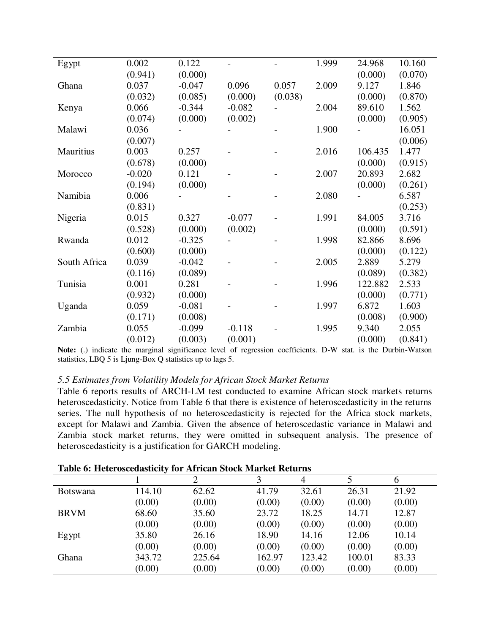| Egypt        | 0.002    | 0.122    |          |         | 1.999 | 24.968  | 10.160  |
|--------------|----------|----------|----------|---------|-------|---------|---------|
|              | (0.941)  | (0.000)  |          |         |       | (0.000) | (0.070) |
| Ghana        | 0.037    | $-0.047$ | 0.096    | 0.057   | 2.009 | 9.127   | 1.846   |
|              | (0.032)  | (0.085)  | (0.000)  | (0.038) |       | (0.000) | (0.870) |
| Kenya        | 0.066    | $-0.344$ | $-0.082$ |         | 2.004 | 89.610  | 1.562   |
|              | (0.074)  | (0.000)  | (0.002)  |         |       | (0.000) | (0.905) |
| Malawi       | 0.036    |          |          |         | 1.900 |         | 16.051  |
|              | (0.007)  |          |          |         |       |         | (0.006) |
| Mauritius    | 0.003    | 0.257    |          |         | 2.016 | 106.435 | 1.477   |
|              | (0.678)  | (0.000)  |          |         |       | (0.000) | (0.915) |
| Morocco      | $-0.020$ | 0.121    |          |         | 2.007 | 20.893  | 2.682   |
|              | (0.194)  | (0.000)  |          |         |       | (0.000) | (0.261) |
| Namibia      | 0.006    |          |          |         | 2.080 |         | 6.587   |
|              | (0.831)  |          |          |         |       |         | (0.253) |
| Nigeria      | 0.015    | 0.327    | $-0.077$ |         | 1.991 | 84.005  | 3.716   |
|              | (0.528)  | (0.000)  | (0.002)  |         |       | (0.000) | (0.591) |
| Rwanda       | 0.012    | $-0.325$ |          |         | 1.998 | 82.866  | 8.696   |
|              | (0.600)  | (0.000)  |          |         |       | (0.000) | (0.122) |
| South Africa | 0.039    | $-0.042$ |          |         | 2.005 | 2.889   | 5.279   |
|              | (0.116)  | (0.089)  |          |         |       | (0.089) | (0.382) |
| Tunisia      | 0.001    | 0.281    |          |         | 1.996 | 122.882 | 2.533   |
|              | (0.932)  | (0.000)  |          |         |       | (0.000) | (0.771) |
| Uganda       | 0.059    | $-0.081$ |          |         | 1.997 | 6.872   | 1.603   |
|              | (0.171)  | (0.008)  |          |         |       | (0.008) | (0.900) |
| Zambia       | 0.055    | $-0.099$ | $-0.118$ |         | 1.995 | 9.340   | 2.055   |
|              | (0.012)  | (0.003)  | (0.001)  |         |       | (0.000) | (0.841) |
|              |          |          |          |         |       |         |         |

**Note:** (.) indicate the marginal significance level of regression coefficients. D-W stat. is the Durbin-Watson statistics, LBQ 5 is Ljung-Box Q statistics up to lags 5.

#### *5.5 Estimates from Volatility Models for African Stock Market Returns*

Table 6 reports results of ARCH-LM test conducted to examine African stock markets returns heteroscedasticity. Notice from Table 6 that there is existence of heteroscedasticity in the returns series. The null hypothesis of no heteroscedasticity is rejected for the Africa stock markets, except for Malawi and Zambia. Given the absence of heteroscedastic variance in Malawi and Zambia stock market returns, they were omitted in subsequent analysis. The presence of heteroscedasticity is a justification for GARCH modeling.

| <b>Table 6: Heteroscedasticity for African Stock Market Returns</b> |  |  |
|---------------------------------------------------------------------|--|--|
|---------------------------------------------------------------------|--|--|

|                 |        |        | 3      | $\overline{4}$ |        | 6      |
|-----------------|--------|--------|--------|----------------|--------|--------|
| <b>Botswana</b> | 114.10 | 62.62  | 41.79  | 32.61          | 26.31  | 21.92  |
|                 | (0.00) | (0.00) | (0.00) | (0.00)         | (0.00) | (0.00) |
| <b>BRVM</b>     | 68.60  | 35.60  | 23.72  | 18.25          | 14.71  | 12.87  |
|                 | (0.00) | (0.00) | (0.00) | (0.00)         | (0.00) | (0.00) |
| Egypt           | 35.80  | 26.16  | 18.90  | 14.16          | 12.06  | 10.14  |
|                 | (0.00) | (0.00) | (0.00) | (0.00)         | (0.00) | (0.00) |
| Ghana           | 343.72 | 225.64 | 162.97 | 123.42         | 100.01 | 83.33  |
|                 | (0.00) | (0.00) | (0.00) | (0.00)         | (0.00) | (0.00) |
|                 |        |        |        |                |        |        |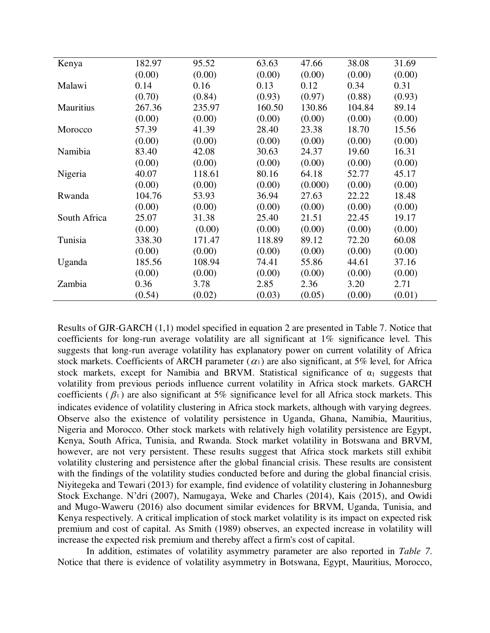| Kenya            | 182.97 | 95.52  | 63.63  | 47.66   | 38.08  | 31.69  |
|------------------|--------|--------|--------|---------|--------|--------|
|                  | (0.00) | (0.00) | (0.00) | (0.00)  | (0.00) | (0.00) |
| Malawi           | 0.14   | 0.16   | 0.13   | 0.12    | 0.34   | 0.31   |
|                  | (0.70) | (0.84) | (0.93) | (0.97)  | (0.88) | (0.93) |
| <b>Mauritius</b> | 267.36 | 235.97 | 160.50 | 130.86  | 104.84 | 89.14  |
|                  | (0.00) | (0.00) | (0.00) | (0.00)  | (0.00) | (0.00) |
| Morocco          | 57.39  | 41.39  | 28.40  | 23.38   | 18.70  | 15.56  |
|                  | (0.00) | (0.00) | (0.00) | (0.00)  | (0.00) | (0.00) |
| Namibia          | 83.40  | 42.08  | 30.63  | 24.37   | 19.60  | 16.31  |
|                  | (0.00) | (0.00) | (0.00) | (0.00)  | (0.00) | (0.00) |
| Nigeria          | 40.07  | 118.61 | 80.16  | 64.18   | 52.77  | 45.17  |
|                  | (0.00) | (0.00) | (0.00) | (0.000) | (0.00) | (0.00) |
| Rwanda           | 104.76 | 53.93  | 36.94  | 27.63   | 22.22  | 18.48  |
|                  | (0.00) | (0.00) | (0.00) | (0.00)  | (0.00) | (0.00) |
| South Africa     | 25.07  | 31.38  | 25.40  | 21.51   | 22.45  | 19.17  |
|                  | (0.00) | (0.00) | (0.00) | (0.00)  | (0.00) | (0.00) |
| Tunisia          | 338.30 | 171.47 | 118.89 | 89.12   | 72.20  | 60.08  |
|                  | (0.00) | (0.00) | (0.00) | (0.00)  | (0.00) | (0.00) |
| Uganda           | 185.56 | 108.94 | 74.41  | 55.86   | 44.61  | 37.16  |
|                  | (0.00) | (0.00) | (0.00) | (0.00)  | (0.00) | (0.00) |
| Zambia           | 0.36   | 3.78   | 2.85   | 2.36    | 3.20   | 2.71   |
|                  | (0.54) | (0.02) | (0.03) | (0.05)  | (0.00) | (0.01) |

Results of GJR-GARCH (1,1) model specified in equation 2 are presented in Table 7. Notice that coefficients for long-run average volatility are all significant at 1% significance level. This suggests that long-run average volatility has explanatory power on current volatility of Africa stock markets. Coefficients of ARCH parameter ( $\alpha_1$ ) are also significant, at 5% level, for Africa stock markets, except for Namibia and BRVM. Statistical significance of  $\alpha_1$  suggests that volatility from previous periods influence current volatility in Africa stock markets. GARCH coefficients ( $\beta_1$ ) are also significant at 5% significance level for all Africa stock markets. This indicates evidence of volatility clustering in Africa stock markets, although with varying degrees. Observe also the existence of volatility persistence in Uganda, Ghana, Namibia, Mauritius, Nigeria and Morocco. Other stock markets with relatively high volatility persistence are Egypt, Kenya, South Africa, Tunisia, and Rwanda. Stock market volatility in Botswana and BRVM, however, are not very persistent. These results suggest that Africa stock markets still exhibit volatility clustering and persistence after the global financial crisis. These results are consistent with the findings of the volatility studies conducted before and during the global financial crisis. Niyitegeka and Tewari (2013) for example, find evidence of volatility clustering in Johannesburg Stock Exchange. N'dri (2007), Namugaya, Weke and Charles (2014), Kais (2015), and Owidi and Mugo-Waweru (2016) also document similar evidences for BRVM, Uganda, Tunisia, and Kenya respectively. A critical implication of stock market volatility is its impact on expected risk premium and cost of capital. As Smith (1989) observes, an expected increase in volatility will increase the expected risk premium and thereby affect a firm's cost of capital.

In addition, estimates of volatility asymmetry parameter are also reported in *Table 7*. Notice that there is evidence of volatility asymmetry in Botswana, Egypt, Mauritius, Morocco,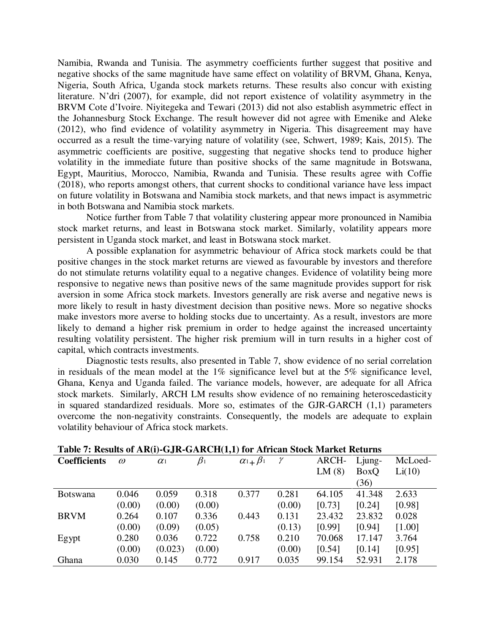Namibia, Rwanda and Tunisia. The asymmetry coefficients further suggest that positive and negative shocks of the same magnitude have same effect on volatility of BRVM, Ghana, Kenya, Nigeria, South Africa, Uganda stock markets returns. These results also concur with existing literature. N'dri (2007), for example, did not report existence of volatility asymmetry in the BRVM Cote d'Ivoire. Niyitegeka and Tewari (2013) did not also establish asymmetric effect in the Johannesburg Stock Exchange. The result however did not agree with Emenike and Aleke (2012), who find evidence of volatility asymmetry in Nigeria. This disagreement may have occurred as a result the time-varying nature of volatility (see, Schwert, 1989; Kais, 2015). The asymmetric coefficients are positive, suggesting that negative shocks tend to produce higher volatility in the immediate future than positive shocks of the same magnitude in Botswana, Egypt, Mauritius, Morocco, Namibia, Rwanda and Tunisia. These results agree with Coffie (2018), who reports amongst others, that current shocks to conditional variance have less impact on future volatility in Botswana and Namibia stock markets, and that news impact is asymmetric in both Botswana and Namibia stock markets.

Notice further from Table 7 that volatility clustering appear more pronounced in Namibia stock market returns, and least in Botswana stock market. Similarly, volatility appears more persistent in Uganda stock market, and least in Botswana stock market.

A possible explanation for asymmetric behaviour of Africa stock markets could be that positive changes in the stock market returns are viewed as favourable by investors and therefore do not stimulate returns volatility equal to a negative changes. Evidence of volatility being more responsive to negative news than positive news of the same magnitude provides support for risk aversion in some Africa stock markets. Investors generally are risk averse and negative news is more likely to result in hasty divestment decision than positive news. More so negative shocks make investors more averse to holding stocks due to uncertainty. As a result, investors are more likely to demand a higher risk premium in order to hedge against the increased uncertainty resulting volatility persistent. The higher risk premium will in turn results in a higher cost of capital, which contracts investments.

Diagnostic tests results, also presented in Table 7, show evidence of no serial correlation in residuals of the mean model at the 1% significance level but at the 5% significance level, Ghana, Kenya and Uganda failed. The variance models, however, are adequate for all Africa stock markets. Similarly, ARCH LM results show evidence of no remaining heteroscedasticity in squared standardized residuals. More so, estimates of the GJR-GARCH (1,1) parameters overcome the non-negativity constraints. Consequently, the models are adequate to explain volatility behaviour of Africa stock markets.

| Table 7: Results of AR(i)-GJR-GARCH(1,1) for African Stock Market Returns |          |            |           |                      |        |        |        |         |
|---------------------------------------------------------------------------|----------|------------|-----------|----------------------|--------|--------|--------|---------|
| <b>Coefficients</b>                                                       | $\omega$ | $\alpha_1$ | $\beta_1$ | $\alpha_1 + \beta_1$ | γ      | ARCH-  | Ljung- | McLoed- |
|                                                                           |          |            |           |                      |        | LM(8)  | BoxQ   | Li(10)  |
|                                                                           |          |            |           |                      |        |        | (36)   |         |
| <b>Botswana</b>                                                           | 0.046    | 0.059      | 0.318     | 0.377                | 0.281  | 64.105 | 41.348 | 2.633   |
|                                                                           | (0.00)   | (0.00)     | (0.00)    |                      | (0.00) | [0.73] | [0.24] | [0.98]  |
| <b>BRVM</b>                                                               | 0.264    | 0.107      | 0.336     | 0.443                | 0.131  | 23.432 | 23.832 | 0.028   |
|                                                                           | (0.00)   | (0.09)     | (0.05)    |                      | (0.13) | [0.99] | [0.94] | [1.00]  |
| Egypt                                                                     | 0.280    | 0.036      | 0.722     | 0.758                | 0.210  | 70.068 | 17.147 | 3.764   |
|                                                                           | (0.00)   | (0.023)    | (0.00)    |                      | (0.00) | [0.54] | [0.14] | [0.95]  |
| Ghana                                                                     | 0.030    | 0.145      | 0.772     | 0.917                | 0.035  | 99.154 | 52.931 | 2.178   |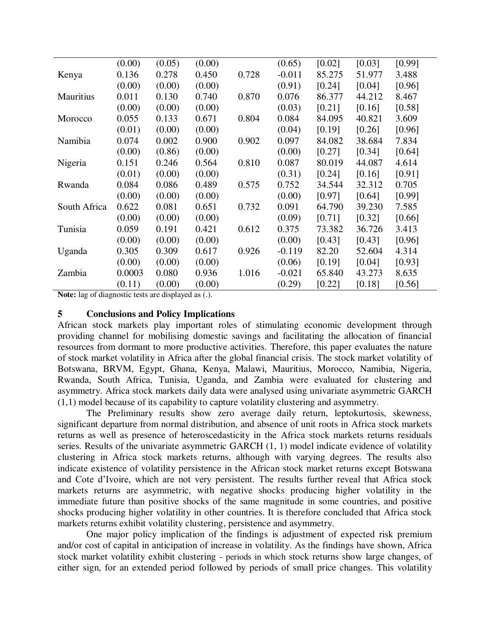|              | (0.00) | (0.05) | (0.00) |       | (0.65)   | [0.02] | [0.03] | [0.99] |
|--------------|--------|--------|--------|-------|----------|--------|--------|--------|
| Kenya        | 0.136  | 0.278  | 0.450  | 0.728 | $-0.011$ | 85.275 | 51.977 | 3.488  |
|              | (0.00) | (0.00) | (0.00) |       | (0.91)   | [0.24] | [0.04] | [0.96] |
| Mauritius    | 0.011  | 0.130  | 0.740  | 0.870 | 0.076    | 86.377 | 44.212 | 8.467  |
|              | (0.00) | (0.00) | (0.00) |       | (0.03)   | [0.21] | [0.16] | [0.58] |
| Morocco      | 0.055  | 0.133  | 0.671  | 0.804 | 0.084    | 84.095 | 40.821 | 3.609  |
|              | (0.01) | (0.00) | (0.00) |       | (0.04)   | [0.19] | [0.26] | [0.96] |
| Namibia      | 0.074  | 0.002  | 0.900  | 0.902 | 0.097    | 84.082 | 38.684 | 7.834  |
|              | (0.00) | (0.86) | (0.00) |       | (0.00)   | [0.27] | [0.34] | [0.64] |
| Nigeria      | 0.151  | 0.246  | 0.564  | 0.810 | 0.087    | 80.019 | 44.087 | 4.614  |
|              | (0.01) | (0.00) | (0.00) |       | (0.31)   | [0.24] | [0.16] | [0.91] |
| Rwanda       | 0.084  | 0.086  | 0.489  | 0.575 | 0.752    | 34.544 | 32.312 | 0.705  |
|              | (0.00) | (0.00) | (0.00) |       | (0.00)   | [0.97] | [0.64] | [0.99] |
| South Africa | 0.622  | 0.081  | 0.651  | 0.732 | 0.091    | 64.790 | 39.230 | 7.585  |
|              | (0.00) | (0.00) | (0.00) |       | (0.09)   | [0.71] | [0.32] | [0.66] |
| Tunisia      | 0.059  | 0.191  | 0.421  | 0.612 | 0.375    | 73.382 | 36.726 | 3.413  |
|              | (0.00) | (0.00) | (0.00) |       | (0.00)   | [0.43] | [0.43] | [0.96] |
| Uganda       | 0.305  | 0.309  | 0.617  | 0.926 | $-0.119$ | 82.20  | 52.604 | 4.314  |
|              | (0.00) | (0.00) | (0.00) |       | (0.06)   | [0.19] | [0.04] | [0.93] |
| Zambia       | 0.0003 | 0.080  | 0.936  | 1.016 | $-0.021$ | 65.840 | 43.273 | 8.635  |
|              | (0.11) | (0.00) | (0.00) |       | (0.29)   | [0.22] | [0.18] | [0.56] |

**Note:** lag of diagnostic tests are displayed as (.).

#### **5 Conclusions and Policy Implications**

African stock markets play important roles of stimulating economic development through providing channel for mobilising domestic savings and facilitating the allocation of financial resources from dormant to more productive activities. Therefore, this paper evaluates the nature of stock market volatility in Africa after the global financial crisis. The stock market volatility of Botswana, BRVM, Egypt, Ghana, Kenya, Malawi, Mauritius, Morocco, Namibia, Nigeria, Rwanda, South Africa, Tunisia, Uganda, and Zambia were evaluated for clustering and asymmetry. Africa stock markets daily data were analysed using univariate asymmetric GARCH (1,1) model because of its capability to capture volatility clustering and asymmetry.

The Preliminary results show zero average daily return, leptokurtosis, skewness, significant departure from normal distribution, and absence of unit roots in Africa stock markets returns as well as presence of heteroscedasticity in the Africa stock markets returns residuals series. Results of the univariate asymmetric GARCH (1, 1) model indicate evidence of volatility clustering in Africa stock markets returns, although with varying degrees. The results also indicate existence of volatility persistence in the African stock market returns except Botswana and Cote d'Ivoire, which are not very persistent. The results further reveal that Africa stock markets returns are asymmetric, with negative shocks producing higher volatility in the immediate future than positive shocks of the same magnitude in some countries, and positive shocks producing higher volatility in other countries. It is therefore concluded that Africa stock markets returns exhibit volatility clustering, persistence and asymmetry.

One major policy implication of the findings is adjustment of expected risk premium and/or cost of capital in anticipation of increase in volatility. As the findings have shown, Africa stock market volatility exhibit clustering - periods in which stock returns show large changes, of either sign, for an extended period followed by periods of small price changes. This volatility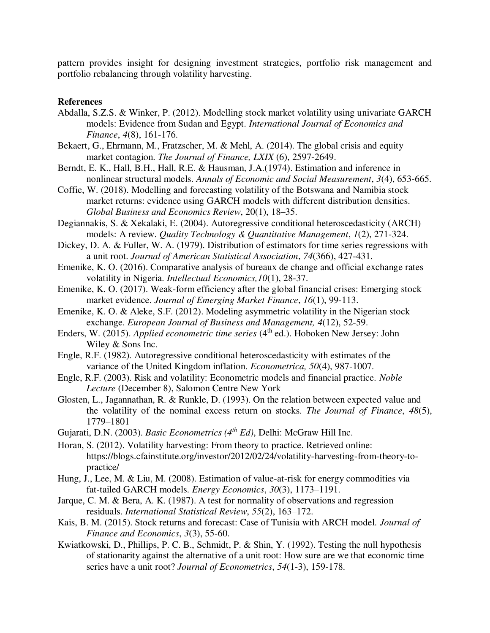pattern provides insight for designing investment strategies, portfolio risk management and portfolio rebalancing through volatility harvesting.

#### **References**

- Abdalla, S.Z.S. & Winker, P. (2012). Modelling stock market volatility using univariate GARCH models: Evidence from Sudan and Egypt. *International Journal of Economics and Finance*, *4*(8), 161-176.
- Bekaert, G., Ehrmann, M., Fratzscher, M. & Mehl, A. (2014). The global crisis and equity market contagion. *The Journal of Finance, LXIX* (6), 2597-2649.
- Berndt, E. K., Hall, B.H., Hall, R.E. & Hausman, J.A.(1974). Estimation and inference in nonlinear structural models. *Annals of Economic and Social Measurement*, *3*(4), 653-665.
- Coffie, W. (2018). Modelling and forecasting volatility of the Botswana and Namibia stock market returns: evidence using GARCH models with different distribution densities. *Global Business and Economics Review*, 20(1), 18–35.

Degiannakis, S. & Xekalaki, E. (2004). Autoregressive conditional heteroscedasticity (ARCH) models: A review. *Quality Technology & Quantitative Management*, *1*(2), 271-324.

- Dickey, D. A. & Fuller, W. A. (1979). Distribution of estimators for time series regressions with a unit root. *Journal of American Statistical Association*, *74*(366), 427-431.
- Emenike, K. O. (2016). Comparative analysis of bureaux de change and official exchange rates volatility in Nigeria. *Intellectual Economics,10*(1), 28-37.

Emenike, K. O. (2017). Weak-form efficiency after the global financial crises: Emerging stock market evidence. *Journal of Emerging Market Finance*, *16*(1), 99-113.

- Emenike, K. O. & Aleke, S.F. (2012). Modeling asymmetric volatility in the Nigerian stock exchange. *European Journal of Business and Management, 4*(12), 52-59.
- Enders, W. (2015). *Applied econometric time series* (4<sup>th</sup> ed.). Hoboken New Jersey: John Wiley & Sons Inc.
- Engle, R.F. (1982). Autoregressive conditional heteroscedasticity with estimates of the variance of the United Kingdom inflation. *Econometrica, 50*(4), 987-1007.
- Engle, R.F. (2003). Risk and volatility: Econometric models and financial practice. *Noble Lecture* (December 8), Salomon Centre New York
- Glosten, L., Jagannathan, R. & Runkle, D. (1993). On the relation between expected value and the volatility of the nominal excess return on stocks. *The Journal of Finance*, *48*(5), 1779–1801
- Gujarati, D.N. (2003). *Basic Econometrics (4th Ed)*, Delhi: McGraw Hill Inc.

Horan, S. (2012). Volatility harvesting: From theory to practice. Retrieved online: https://blogs.cfainstitute.org/investor/2012/02/24/volatility-harvesting-from-theory-topractice/

- Hung, J., Lee, M. & Liu, M. (2008). Estimation of value-at-risk for energy commodities via fat-tailed GARCH models. *Energy Economics*, *30*(3), 1173–1191.
- Jarque, C. M. & Bera, A. K. (1987). A test for normality of observations and regression residuals. *International Statistical Review*, *55*(2), 163–172.
- Kais, B. M. (2015). Stock returns and forecast: Case of Tunisia with ARCH model. *Journal of Finance and Economics*, *3*(3), 55-60.
- Kwiatkowski, D., Phillips, P. C. B., Schmidt, P. & Shin, Y. (1992). Testing the null hypothesis of stationarity against the alternative of a unit root: How sure are we that economic time series have a unit root? *Journal of Econometrics*, *54*(1-3), 159-178.